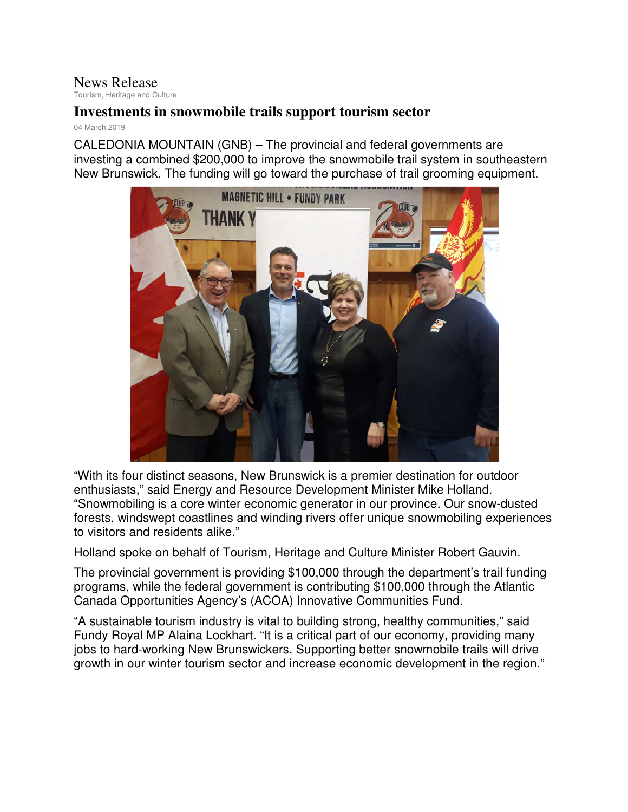## News Release

Tourism, Heritage and Culture

## **Investments in snowmobile trails support tourism sector**

04 March 2019

CALEDONIA MOUNTAIN (GNB) – The provincial and federal governments are investing a combined \$200,000 to improve the snowmobile trail system in southeastern New Brunswick. The funding will go toward the purchase of trail grooming equipment.



"With its four distinct seasons, New Brunswick is a premier destination for outdoor enthusiasts," said Energy and Resource Development Minister Mike Holland. "Snowmobiling is a core winter economic generator in our province. Our snow-dusted forests, windswept coastlines and winding rivers offer unique snowmobiling experiences to visitors and residents alike."

Holland spoke on behalf of Tourism, Heritage and Culture Minister Robert Gauvin.

The provincial government is providing \$100,000 through the department's trail funding programs, while the federal government is contributing \$100,000 through the Atlantic Canada Opportunities Agency's (ACOA) Innovative Communities Fund.

"A sustainable tourism industry is vital to building strong, healthy communities," said Fundy Royal MP Alaina Lockhart. "It is a critical part of our economy, providing many jobs to hard-working New Brunswickers. Supporting better snowmobile trails will drive growth in our winter tourism sector and increase economic development in the region."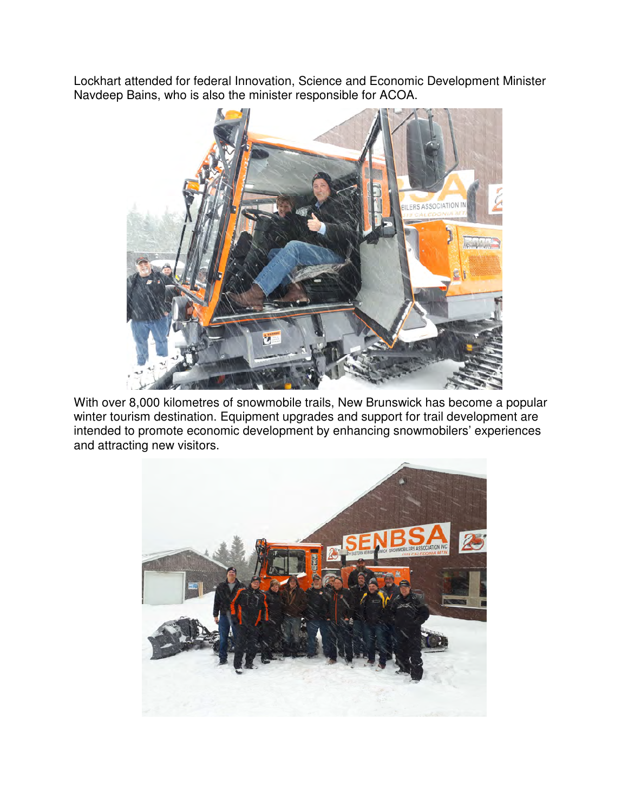Lockhart attended for federal Innovation, Science and Economic Development Minister Navdeep Bains, who is also the minister responsible for ACOA.



With over 8,000 kilometres of snowmobile trails, New Brunswick has become a popular winter tourism destination. Equipment upgrades and support for trail development are intended to promote economic development by enhancing snowmobilers' experiences and attracting new visitors.